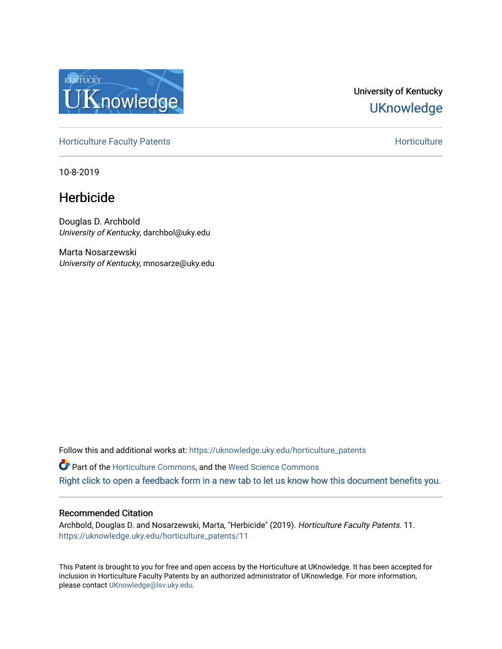

University of Kentucky **UKnowledge** 

[Horticulture Faculty Patents](https://uknowledge.uky.edu/horticulture_patents) **Horticulture** Horticulture

10-8-2019

## Herbicide

Douglas D. Archbold University of Kentucky, darchbol@uky.edu

Marta Nosarzewski University of Kentucky, mnosarze@uky.edu

Follow this and additional works at: [https://uknowledge.uky.edu/horticulture\\_patents](https://uknowledge.uky.edu/horticulture_patents?utm_source=uknowledge.uky.edu%2Fhorticulture_patents%2F11&utm_medium=PDF&utm_campaign=PDFCoverPages) 

Part of the [Horticulture Commons,](http://network.bepress.com/hgg/discipline/105?utm_source=uknowledge.uky.edu%2Fhorticulture_patents%2F11&utm_medium=PDF&utm_campaign=PDFCoverPages) and the [Weed Science Commons](http://network.bepress.com/hgg/discipline/1267?utm_source=uknowledge.uky.edu%2Fhorticulture_patents%2F11&utm_medium=PDF&utm_campaign=PDFCoverPages)  [Right click to open a feedback form in a new tab to let us know how this document benefits you.](https://uky.az1.qualtrics.com/jfe/form/SV_9mq8fx2GnONRfz7)

### Recommended Citation

Archbold, Douglas D. and Nosarzewski, Marta, "Herbicide" (2019). Horticulture Faculty Patents. 11. [https://uknowledge.uky.edu/horticulture\\_patents/11](https://uknowledge.uky.edu/horticulture_patents/11?utm_source=uknowledge.uky.edu%2Fhorticulture_patents%2F11&utm_medium=PDF&utm_campaign=PDFCoverPages)

This Patent is brought to you for free and open access by the Horticulture at UKnowledge. It has been accepted for inclusion in Horticulture Faculty Patents by an authorized administrator of UKnowledge. For more information, please contact [UKnowledge@lsv.uky.edu.](mailto:UKnowledge@lsv.uky.edu)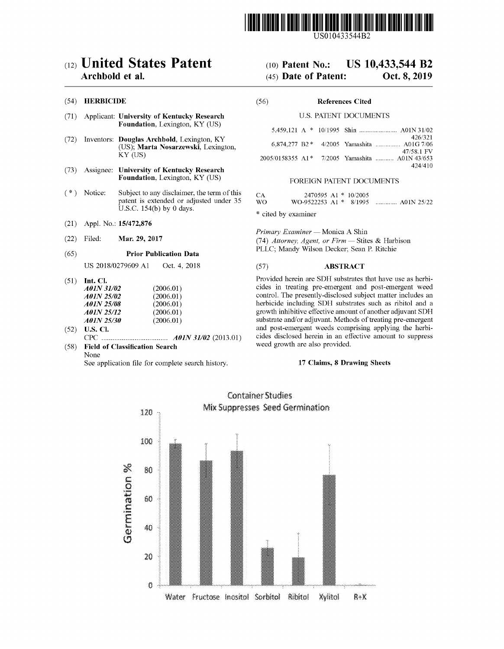

US010433544B2

## c12) **United States Patent**

### **Archbold et al.**

### (54) **HERBICIDE**

- (71) Applicant: **University of Kentucky Research Foundation,** Lexington, KY (US)
- (72) Inventors: **Douglas Archbold,** Lexington, KY (US); **Marta Nosarzewski,** Lexington, KY (US)
- (73) Assignee: **University of Kentucky Research Foundation,** Lexington, KY (US)
- $(*)$  Notice: Subject to any disclaimer, the term of this patent is extended or adjusted under 35 U.S.C. 154(b) by O days.
- (21) Appl. No.: **15/472,876**
- (22) Filed: **Mar. 29, 2017**

#### (65) **Prior Publication Data**

US 2018/0279609 Al Oct. 4, 2018

- (51) **Int. Cl.**  *A0lN 31102 A0lN 25102 A0lN 25108 A0lN 25112 A0lN 25130*  (2006.01)  $(2006.01)$  $(2006.01)$  $(2006.01)$ (2006.01)
- (52) **U.S. Cl.**  CPC .................................... *A0lN 31102* (2013.01) ( 58) **Field of Classification Search**
- None See application file for complete search history.

#### (IO) **Patent No.:**  (45) **Date of Patent: US 10,433,544 B2 Oct. 8, 2019**

### (56) **References Cited**

### U.S. PATENT DOCUMENTS

|  | 426/321                                        |
|--|------------------------------------------------|
|  | 6,874,277 B2 * 4/2005 Yamashita  A01G 7/06     |
|  | 47/58.1 FV                                     |
|  | 2005/0158355 A1* 7/2005 Yamashita  A01N 43/653 |
|  | 424/410                                        |

### FOREIGN PATENT DOCUMENTS

| -CA | $2470595$ A1 $*$ 10/2005           |  |  |  |
|-----|------------------------------------|--|--|--|
| WO. | WO-9522253 A1 * 8/1995  A01N 25/22 |  |  |  |

\* cited by examiner

*Primary Examiner* - Monica A Shin (74) *Attorney, Agent, or Firm* - Stites & Harbison PLLC; Mandy Wilson Decker; Sean P. Ritchie

### (57) **ABSTRACT**

Provided herein are SDH substrates that have use as herbicides in treating pre-emergent and post-emergent weed control. The presently-disclosed subject matter includes an herbicide including SDH substrates such as ribitol and a growth inhibitive effective amount of another adjuvant SDH substrate and/or adjuvant. Methods of treating pre-emergent and post-emergent weeds comprising applying the herbicides disclosed herein in an effective amount to suppress weed growth are also provided.

### **17 Claims, 8 Drawing Sheets**

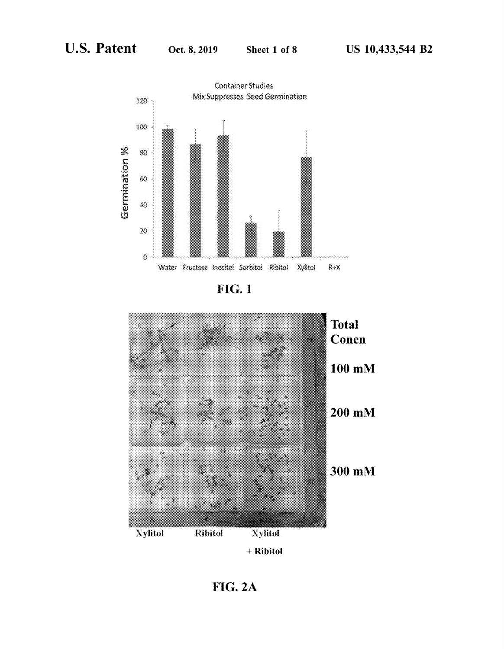

**FIG. l** 



+ **Ribitol** 

## **FIG. 2A**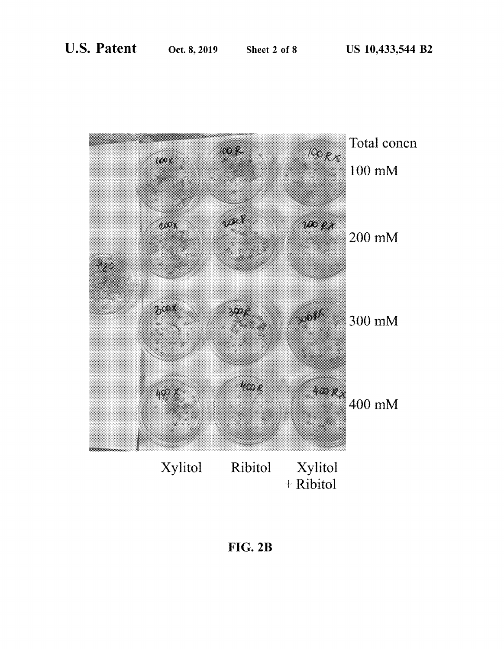

+ Ribitol

## **FIG. 2B**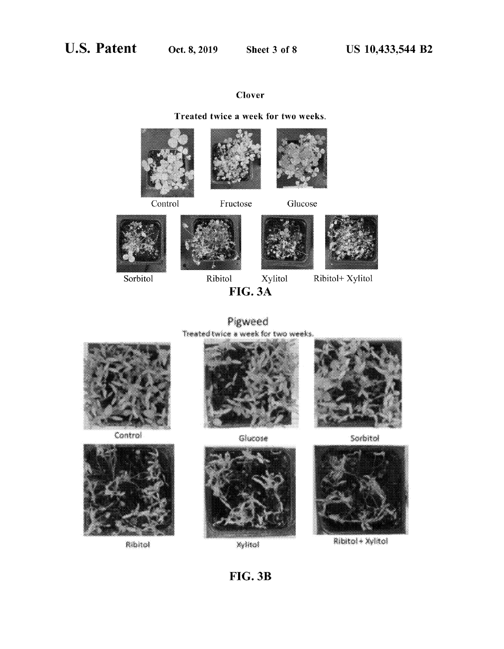### **Clover**

### **Treated twice a week for two weeks.**







Control Fructose Glucose









Sorbitol Ribitol Xylitol Ribitol+ Xylitol

**FIG. 3A** 



Treated twice a week for two weeks.



Cantral



Ribitol



Giuccine





Satiital



Ribitol - Rylitol

**FIG. 3B**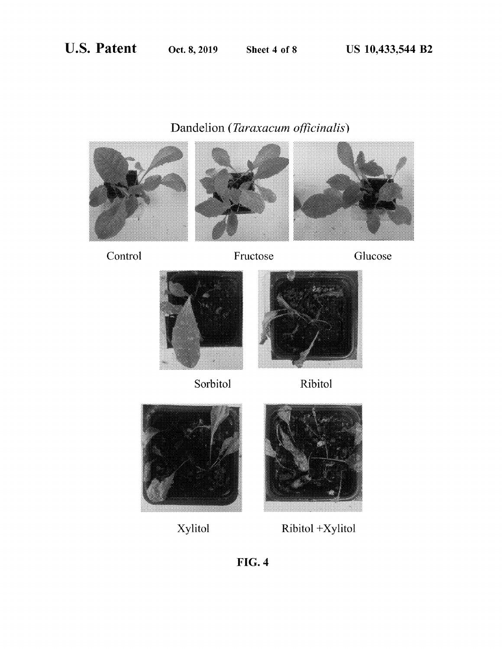# Dandelion (Taraxacum officinalis)



Control Fructose Glucose



Sorbitol Ribitol









Xylitol Ribitol + Xylitol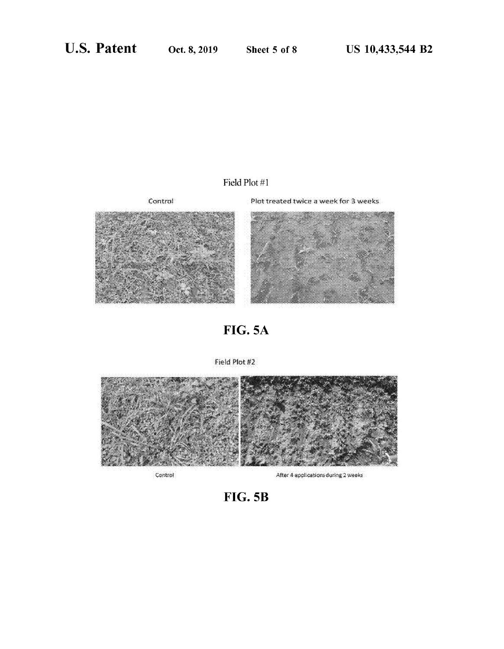## Field Plot #1









Cantral

After 4 applications during 2 weeks

FIG. 5B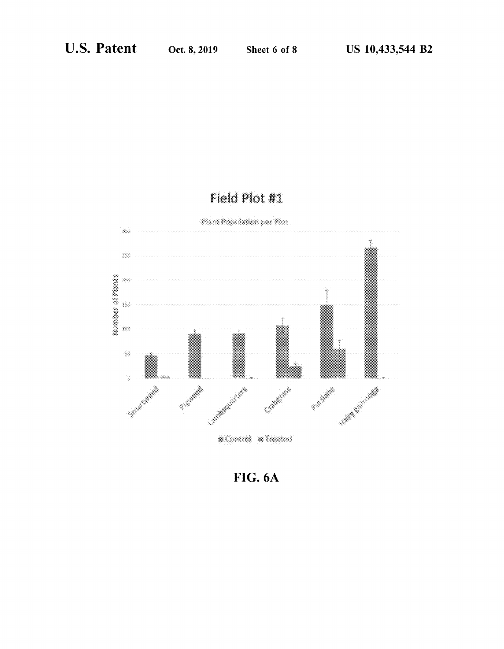# Field Plot #1



FIG. 6A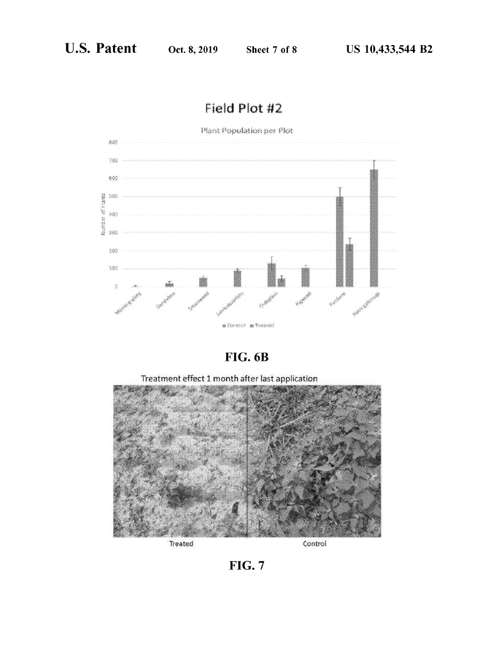## Plant Population per Plot  $3\%$  $\infty$  $\langle \psi \rangle$ **Market of Frankl** -888  $\langle\delta\hat{Q}\rangle$  $\bar{\gg}$  $33\%$ 328 tt:: X) ············'i.. . *..... ?..*  stanici m'inicia

## Field Plot #2

**FIG. 6B** 

Treatment effect 1 month after last application



Control

**FIG. 7**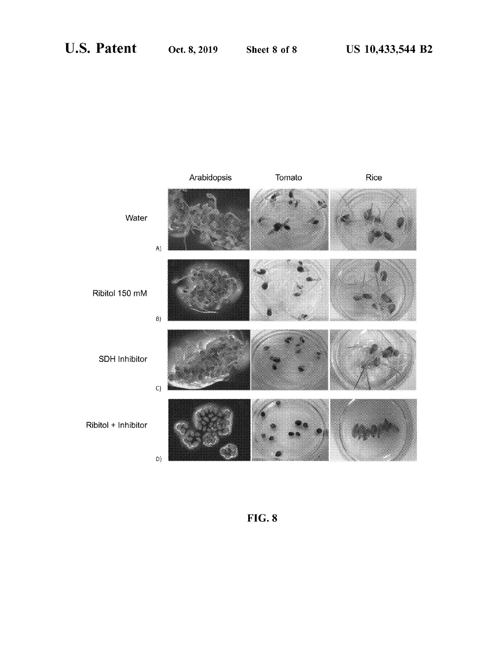

**FIG. 8**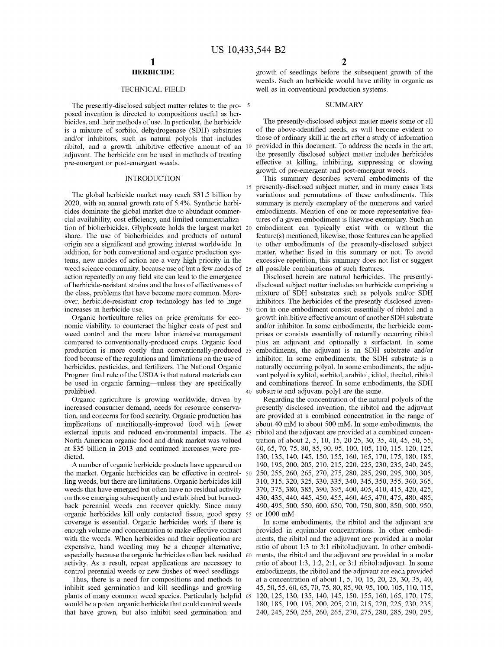### **HERBICIDE**

### TECHNICAL FIELD

The presently-disclosed subject matter relates to the pro- 5 posed invention is directed to compositions useful as herbicides, and their methods of use. In particular, the herbicide is a mixture of sorbitol dehydrogenase (SDH) substrates and/or inhibitors, such as natural polyols that includes ribitol, and a growth inhibitive effective amount of an 10 adjuvant. The herbicide can be used in methods of treating pre-emergent or post-emergent weeds.

### INTRODUCTION

The global herbicide market may reach \$31.5 billion by 2020, with an ammal growth rate of 5.4%. Synthetic herbicides dominate the global market due to abundant commercial availability, cost efficiency, and limited commercialization of bioherbicides. Glyphosate holds the largest market share. The use of bioherbicides and products of natural origin are a significant and growing interest worldwide. In addition, for both conventional and organic production systems, new modes of action are a very high priority in the weed science community, because use of but a few modes of 25 action repeatedly on any field site can lead to the emergence of herbicide-resistant strains and the loss of effectiveness of the class, problems that have become more common. Moreover, herbicide-resistant crop technology has led to huge increases in herbicide use.

Organic horticulture relies on price premiums for economic viability, to counteract the higher costs of pest and weed control and the more labor intensive management compared to conventionally-produced crops. Organic food production is more costly than conventionally-produced 35 food because of the regulations and limitations on the use of herbicides, pesticides, and fertilizers. The National Organic Program final rule of the USDA is that natural materials can be used in organic farming—unless they are specifically prohibited.

Organic agriculture is growing worldwide, driven by increased consumer demand, needs for resource conservation, and concerns for food security. Organic production has implications of nutritionally-improved food with fewer external inputs and reduced environmental impacts. The North American organic food and drink market was valued at \$35 billion in 2013 and continued increases were predicted.

A number of organic herbicide products have appeared on the market. Organic herbicides can be effective in controlling weeds, but there are limitations. Organic herbicides kill weeds that have emerged but often have no residual activity on those emerging subsequently and established but burnedback perennial weeds can recover quickly. Since many organic herbicides kill only contacted tissue, good spray coverage is essential. Organic herbicides work if there is enough volume and concentration to make effective contact with the weeds. When herbicides and their application are expensive, hand weeding may be a cheaper alternative, especially because the organic herbicides often lack residual 60 activity. As a result, repeat applications are necessary to control perennial weeds or new flushes of weed seedlings

Thus, there is a need for compositions and methods to inhibit seed germination and kill seedlings and growing plants of many common weed species. Particularly helpful 65 would be a potent organic herbicide that could control weeds that have grown, but also inhibit seed germination and

growth of seedlings before the subsequent growth of the weeds. Such an herbicide would have utility in organic as well as in conventional production systems.

### **SUMMARY**

The presently-disclosed subject matter meets some or all of the above-identified needs, as will become evident to those of ordinary skill in the art after a study of information provided in this document. To address the needs in the art, the presently disclosed subject matter includes herbicides effective at killing, inhibiting, suppressing or slowing growth of pre-emergent and post-emergent weeds.

This summary describes several embodiments of the 15 presently-disclosed subject matter, and in many cases lists variations and permutations of these embodiments. This summary is merely exemplary of the numerous and varied embodiments. Mention of one or more representative features of a given embodiment is likewise exemplary. Such an embodiment can typically exist with or without the feature(s) mentioned; likewise, those features can be applied to other embodiments of the presently-disclosed subject matter, whether listed in this summary or not. To avoid excessive repetition, this summary does not list or suggest all possible combinations of such features.

Disclosed herein are natural herbicides. The presentlydisclosed subject matter includes an herbicide comprising a mixture of SDH substrates such as polyols and/or SDH inhibitors. The herbicides of the presently disclosed invention in one embodiment consist essentially of ribitol and a growth inhibitive effective amount of another SDH substrate and/or inhibitor. In some embodiments, the herbicide comprises or consists essentially of naturally occurring ribitol plus an adjuvant and optionally a surfactant. In some embodiments, the adjuvant is an SDH substrate and/or inhibitor. In some embodiments, the SDH substrate is a naturally occurring polyol. In some embodiments, the adjuvant polyol is xylitol, sorbitol, arabitol, iditol, threitol, ribitol and combinations thereof. In some embodiments, the SDH 40 substrate and adjuvant poly! are the same.

Regarding the concentration of the natural polyols of the presently disclosed invention, the ribitol and the adjuvant are provided at a combined concentration in the range of about 40 mM to about 500 mM. In some embodiments, the ribitol and the adjuvant are provided at a combined concentration of about 2, 5, 10, 15, 20 25, 30, 35, 40, 45, 50, 55, 60, 65, 70, 75, 80, 85, 90, 95, 100, 105, 110, 115, 120, 125, 130,135,140, 145,150,155, 160,165,170,175,180,185, 190,195,200,205,210,215,220,225,230,235,240,245, 50 250,255,260,265,270,275,280,285,290,295,300,305, 310,315,320,325,330,335,340,345,350,355,360,365, 370,375,380,385,390,395,400,405,410,415,420,425, 430,435,440,445,450,455,460,465,470,475,480,485, 490,495,500,550,600,650,700,750,800,850,900,950, or 1000 mM.

In some embodiments, the ribitol and the adjuvant are provided in equimolar concentrations. In other embodiments, the ribitol and the adjuvant are provided in a molar ratio of about 1:3 to 3:1 ribitol:adjuvant. In other embodiments, the ribitol and the adjuvant are provided in a molar ratio of about 1:3, 1:2, 2:1, or 3:1 ribitol:adjuvant. In some embodiments, the ribitol and the adjuvant are each provided at a concentration of about 1, 5, 10, 15, 20, 25, 30, 35, 40, 45, 50,55,60, 65, 70, 75, 80,85,90,95, 100,105,110,115, 120,125,130, 135,140,145, 150,155,160,165,170,175, 180, 185, 190, 195, 200, 205, 210, 215, 220, 225, 230, 235, 240,245,250,255,260,265,270,275,280,285,290,295,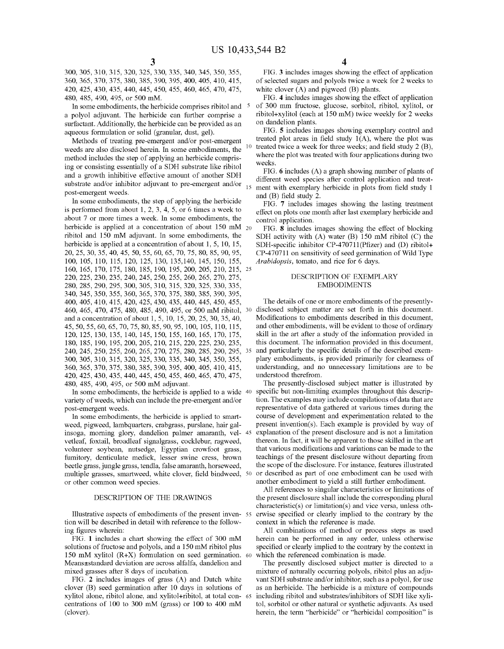300,305,310,315,320,325,330,335,340,345,350,355, 360,365,370,375,380,385,390,395,400,405,410,415, 420,425,430,435,440,445,450,455,460,465,470,475, 480, 485, 490, 495, or 500 mM.

In some embodiments, the herbicide comprises ribitol and 5 a polyol adjuvant. The herbicide can further comprise a surfactant. Additionally, the herbicide can be provided as an aqueous formulation or solid (granular, dust, gel).

Methods of treating pre-emergent and/or post-emergent weeds are also disclosed herein. In some embodiments, the method includes the step of applying an herbicide comprising or consisting essentially of a SDH substrate like ribitol and a growth inhibitive effective amount of another SDH substrate and/or inhibitor adjuvant to pre-emergent and/or  $_{15}$ post-emergent weeds.

In some embodiments, the step of applying the herbicide is performed from about 1, 2, 3, 4, 5, or 6 times a week to about 7 or more times a week. In some embodiments, the herbicide is applied at a concentration of about 150 mM  $_{20}$ ribitol and 150 mM adjuvant. In some embodiments, the herbicide is applied at a concentration of about 1, 5, 10, 15, 20,25, 30,35,40, 45, 50, 55, 60, 65, 70, 75, 80, 85, 90, 95, 100, 105, 110, 115, 120, 125, 130, 135,140, 145, 150, 155, 160,165,170,175, 180,185,190,195,200,205,210,215, 25 220,225,230,235,240,245,250,255,260,265,270,275, 280,285,290,295,300,305,310,315,320,325,330,335, 340,345,350,355,360,365,370,375,380,385,390,395, 400,405,410,415,420,425,430,435,440,445,450,455, 460, 465, 470, 475, 480, 485, 490, 495, or 500 mM ribitol, 30 and a concentration of about 1, 5, 10, 15, 20, 25, 30, 35, 40, 45,50,55,60, 65, 70, 75, 80,85,90, 95,100,105,110,115, 120,125,130,135, 140,145,150, 155,160,165, 170, 175, 180, 185, 190, 195, 200, 205, 210, 215, 220, 225, 230, 235, 240,245,250,255,260,265,270,275,280,285,290,295, 35 300,305,310,315,320,325,330,335,340,345,350,355, 360,365,370,375,380,385,390,395,400,405,410,415, 420,425,430,435,440,445,450,455,460,465,470,475, 480, 485, 490, 495, or 500 mM adjuvant.

In some embodiments, the herbicide is applied to a wide 40 variety of weeds, which can include the pre-emergent and/or post-emergent weeds.

In some embodiments, the herbicide is applied to smartweed, pigweed, lambquarters, crabgrass, purslane, hair galinsoga, morning glory, dandelion palmer amaranth, vel- 45 vetleaf, foxtail, broadleaf signalgrass, cocklebur, ragweed, volunteer soybean, nutsedge, Egyptian crowfoot grass, fumitory, denticulate medick, lesser swine cress, brown beetle grass, jungle grass, tendla, false amaranth, horseweed, multiple grasses, smartweed, white clover, field bindweed, 50 or other common weed species.

#### DESCRIPTION OF THE DRAWINGS

Illustrative aspects of embodiments of the present inven- <sup>55</sup> tion will be described in detail with reference to the following figures wherein:

FIG. **1** includes a chart showing the effect of 300 mM solutions of fructose and polyols, and a 150 mM ribitol plus 150 mM xylitol (R+X) formulation on seed germination. Means±standard deviation are across alfalfa, dandelion and mixed grasses after 8 days of incubation.

FIG. **2** includes images of grass (A) and Dutch white clover (B) seed germination after 10 days in solutions of xylitol alone, ribitol alone, and xylitol+ribitol, at total con- 65 centrations of 100 to 300 mM (grass) or 100 to 400 mM (clover).

FIG. **3** includes images showing the effect of application of selected sugars and polyols twice a week for 2 weeks to white clover (A) and pigweed (B) plants.

FIG. **4** includes images showing the effect of application of 300 mm fructose, glucose, sorbitol, ribitol, xylitol, or ribitol+xylitol (each at 150 mM) twice weekly for 2 weeks on dandelion plants.

FIG. **5** includes images showing exemplary control and treated plot areas in field study  $1(A)$ , where the plot was treated twice a week for three weeks; and field study 2 (B), where the plot was treated with four applications during two weeks.

FIG. **6** includes (A) a graph showing number of plants of different weed species after control application and treatment with exemplary herbicide in plots from field study 1 and (B) field study 2.

FIG. **7** includes images showing the lasting treatment effect on plots one month after last exemplary herbicide and control application.

FIG. **8** includes images showing the effect of blocking SDH activity with (A) water (B) 150 mM ribitol (C) the SDH-specific inhibitor CP-470711(Pfizer) and (D) ribitol+ CP-470711 on sensitivity of seed germination of Wild Type *Arabidopsis,* tomato, and rice for 6 days.

### DESCRIPTION OF EXEMPLARY EMBODIMENTS

The details of one or more embodiments of the presentlydisclosed subject matter are set forth in this document. Modifications to embodiments described in this document, and other embodiments, will be evident to those of ordinary skill in the art after a study of the information provided in this document. The information provided in this document, and particularly the specific details of the described exemplary embodiments, is provided primarily for clearness of understanding, and no unnecessary limitations are to be understood therefrom.

The presently-disclosed subject matter is illustrated by specific but non-limiting examples throughout this description. The examples may include compilations of data that are representative of data gathered at various times during the course of development and experimentation related to the present invention(s). Each example is provided by way of explanation of the present disclosure and is not a limitation thereon. In fact, it will be apparent to those skilled in the art that various modifications and variations can be made to the teachings of the present disclosure without departing from the scope of the disclosure. For instance, features illustrated or described as part of one embodiment can be used with another embodiment to yield a still further embodiment.

All references to singular characteristics or limitations of the present disclosure shall include the corresponding plural characteristic(s) or limitation(s) and vice versa, unless otherwise specified or clearly implied to the contrary by the context in which the reference is made.

All combinations of method or process steps as used herein can be performed in any order, unless otherwise specified or clearly implied to the contrary by the context in which the referenced combination is made.

The presently disclosed subject matter is directed to a mixture of naturally occurring polyols, ribitol plus an adjuvant SDH substrate and/or inhibitor, such as a polyol, for use as an herbicide. The herbicide is a mixture of compounds including ribitol and substrates/inhibitors of SDH like xylitol, sorbitol or other natural or synthetic adjuvants. As used herein, the term "herbicide" or "herbicidal composition" is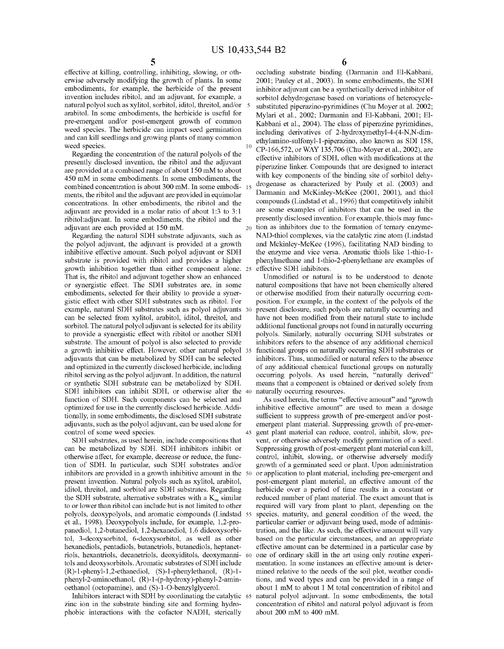effective at killing, controlling, inhibiting, slowing, or otherwise adversely modifying the growth of plants. In some embodiments, for example, the herbicide of the present invention includes ribitol, and an adjuvant, for example, a natural polyol such as xylitol, sorbitol, iditol, threitol, and/or arabitol. In some embodiments, the herbicide is useful for pre-emergent and/or post-emergent growth of common weed species. The herbicide can impact seed germination and can kill seedlings and growing plants of many common weed species.

Regarding the concentration of the natural polyols of the presently disclosed invention, the ribitol and the adjuvant are provided at a combined range of about 150 mM to about 450 mM in some embodiments. In some embodiments, the combined concentration is about 300 mM. In some embodiments, the ribitol and the adjuvant are provided in equimolar concentrations. In other embodiments, the ribitol and the adjuvant are provided in a molar ratio of about 1:3 to 3: 1 ribitol:adjuvant. In some embodiments, the ribitol and the adjuvant are each provided at 150 mM.

Regarding the natural SDH substrate adjuvants, such as the polyol adjuvant, the adjuvant is provided at a growth inhibitive effective amount. Such polyol adjuvant or SDH substrate is provided with ribitol and provides a higher growth inhibition together than either component alone. That is, the ribitol and adjuvant together show an enhanced or synergistic effect. The SDH substrates are, in some embodiments, selected for their ability to provide a synergistic effect with other SDH substrates such as ribitol. For example, natural SDH substrates such as polyol adjuvants 30 can be selected from xylitol, arabitol, iditol, threitol, and sorbitol. The natural polyol adjuvant is selected for its ability to provide a synergistic effect with ribitol or another SDH substrate. The amount of polyol is also selected to provide a growth inhibitive effect. However, other natural polyol 35 adjuvants that can be metabolized by SDH can be selected and optimized in the currently disclosed herbicide, including ribitol serving as the polyol adjuvant. In addition, the natural or synthetic SDH substrate can be metabolized by SDH. SDH inhibitors can inhibit SDH, or otherwise alter the 40 function of SDH. Such components can be selected and optimized for use in the currently disclosed herbicide. Additionally, in some embodiments, the disclosed SDH substrate adjuvants, such as the polyol adjuvant, can be used alone for control of some weed species.

SDH substrates, as used herein, include compositions that can be metabolized by SDH. SDH inhibitors inhibit or otherwise affect, for example, decrease or reduce, the function of SDH. In particular, such SDH substrates and/or inhibitors are provided in a growth inhibitive amount in the 50 present invention. Natural polyols such as xylitol, arabitol, iditol, threitol, and sorbitol are SDH substrates. Regarding the SDH substrate, alternative substrates with a  $K_m$  similar to or lower than ribitol can include but is not limited to other polyols, deoxypolyols, and aromatic compounds (Lindstad 55 et al., 1998). Deoxypolyols include, for example, 1,2-propanediol, 1,2-butanediol, 1,2-hexanediol, 1,6 dideoxysorbitol, 3-deoxysorbitol, 6-deoxysorbitol, as well as other hexanediols, pentadiols, butanetriols, butanediols, heptanetriols, hexantriols, decanetriols, deoxyiditols, deoxymanni- 60 tols and deoxysorbitols. Aromatic substrates of SDH include (R)-1-phenyl-1,2-ethanediol, (S)-1-phenylethanol, (R)-1 phenyl-2-aminoethanol, (R)-1-(p-hydroxy )-phenyl-2-aminoethanol (octopamine), and (S)-1-O-benzylglycerol.

Inhibitors interact with SDH by coordinating the catalytic zinc ion in the substrate binding site and forming hydrophobic interactions with the cofactor NADH, sterically

occluding substrate binding (Darmanin and El-Kabbani, 2001; Pauley et al., 2003). In some embodiments, the SDH inhibitor adjuvant can be a synthetically derived inhibitor of sorbitol dehydrogenase based on variations of heterocycle-5 substituted piperazino-pyrimidines (Chu Moyer at al. 2002; Mylari et al., 2002; Darmanin and El-Kabbani, 2001; El-Kabbani et al., 2004). The class of piperazine pyrimidines, including derivatives of 2-hydroxymethyl-4-(4-N,N-dimethylamino-sulfonyl-1-piperazino, also known as SDI 158,  $^{10}$  CD 166.578, WAV 125.786.678, M ° CP-166,572, or WAY 135,706 (Chu-Moyer et al., 2002), are effective inhibitors of SDH, often with modifications at the piperazine linker. Compounds that are designed to interact with key components of the binding site of sorbitol dehydrogenase as characterized by Pauly et al. (2003) and Darmanin and McKinley-McKee (2001, 2001), and thiol compounds (Lindstad et al., 1996) that competitively inhibit are some examples of inhibitors that can be used in the presently disclosed invention. For example, thiols may func-20 tion as inhibitors due to the formation of ternary enzyme-NAD-thiol complexes, via the catalytic zinc atom (Lindstad and Mckinley-McKee (1996), facilitating NAD binding to the enzyme and vice versa. Aromatic thiols like l-thio-1 phenylmethane and l-thio-2-phenylethane are examples of effective SDH inhibitors.

Unmodified or natural is to be understood to denote natural compositions that have not been chemically altered or otherwise modified from their naturally occurring composition. For example, in the context of the polyols of the present disclosure, such polyols are naturally occurring and have not been modified from their natural state to include additional functional groups not found in naturally occurring polyols. Similarly, naturally occurring SDH substrates or inhibitors refers to the absence of any additional chemical functional groups on naturally occurring SDH substrates or inhibitors. Thus, unmodified or natural refers to the absence of any additional chemical functional groups on naturally occurring polyols. As used herein, "naturally derived" means that a component is obtained or derived solely from naturally occurring resources.

As used herein, the terms "effective amount" and "growth inhibitive effective amount" are used to mean a dosage sufficient to suppress growth of pre-emergent and/or postemergent plant material. Suppressing growth of pre-emergent plant material can reduce, control, inhibit, slow, prevent, or otherwise adversely modify germination of a seed. Suppressing growth of post-emergent plant material can kill, control, inhibit, slowing, or otherwise adversely modify growth of a germinated seed or plant. Upon administration or application to plant material, including pre-emergent and post-emergent plant material, an effective amount of the herbicide over a period of time results in a constant or reduced number of plant material. The exact amount that is required will vary from plant to plant, depending on the species, maturity, and general condition of the weed, the particular carrier or adjuvant being used, mode of administration, and the like. As such, the effective amount will vary based on the particular circumstances, and an appropriate effective amount can be determined in a particular case by one of ordinary skill in the art using only routine experimentation. In some instances an effective amount is determined relative to the needs of the soil plot, weather conditions, and weed types and can be provided in a range of about 1 mM to about 1 M total concentration of ribitol and natural polyol adjuvant. In some embodiments, the total concentration of ribitol and natural polyol adjuvant is from about 200 mM to 400 mM.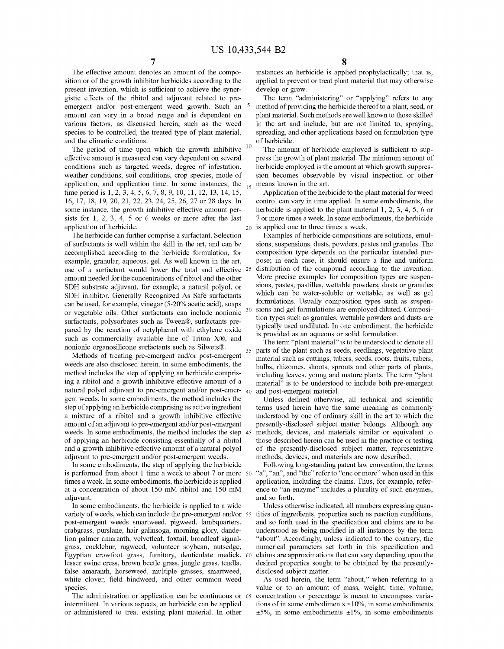The effective amount denotes an amount of the composition or of the growth inhibitor herbicides according to the present invention, which is sufficient to achieve the synergistic effects of the ribitol and adjuvant related to preemergent and/or post-emergent weed growth. Such an <sup>5</sup> amount can vary in a broad range and is dependent on various factors, as discussed herein, such as the weed species to be controlled, the treated type of plant material, and the climatic conditions.

The period of time upon which the growth inhibitive  $10$ effective amount is measured can vary dependent on several conditions such as targeted weeds, degree of infestation, weather conditions, soil conditions, crop species, mode of application, and application time. In some instances, the  $_{15}$ time period is 1, 2, 3, 4, 5, 6, 7, 8, 9, 10, 11, 12, 13, 14, 15, 16, 17, 18, 19, 20, 21, 22, 23, 24, 25, 26, 27 or 28 days. In some instance, the growth inhibitive effective amount persists for 1, 2, 3, 4, 5 or 6 weeks or more after the last application of herbicide.

The herbicide can further comprise a surfactant. Selection of surfactants is well within the skill in the art, and can be accomplished according to the herbicide formulation, for example, granular, aqueous, gel. As well known in the art, use of a surfactant would lower the total and effective <sup>25</sup> amount needed for the concentrations of ribitol and the other SDH substrate adjuvant, for example, a natural polyol, or SDH inhibitor. Generally Recognized As Safe surfactants can be used, for example, vinegar (5-20% acetic acid), soaps or vegetable oils. Other surfactants can include nonionic surfactants, polysorbates such as Tween®, surfactants prepared by the reaction of octylphenol with ethylene oxide such as commercially available line of Triton X®, and nonionic organosilicone surfactants such as Silwets®.

Methods of treating pre-emergent and/or post-emergent weeds are also disclosed herein. In some embodiments, the method includes the step of applying an herbicide comprising a ribitol and a growth inhibitive effective amount of a natural polyol adjuvant to pre-emergent and/or post-emer- $_{40}$ gent weeds. In some embodiments, the method includes the step of applying an herbicide comprising as active ingredient a mixture of a ribitol and a growth inhibitive effective amount of an adjuvant to pre-emergent and/or post-emergent weeds. In some embodiments, the method includes the step of applying an herbicide consisting essentially of a ribitol and a growth inhibitive effective amount of a natural polyol adjuvant to pre-emergent and/or post-emergent weeds.

In some embodiments, the step of applying the herbicide is performed from about 1 time a week to about 7 or more 50 times a week. In some embodiments, the herbicide is applied at a concentration of about 150 mM ribitol and 150 mM adjuvant.

variety of weeds, which can include the pre-emergent and/or 55 tities of ingredients, properties such as reaction conditions, In some embodiments, the herbicide is applied to a wide post-emergent weeds smartweed, pigweed, lambquarters, crabgrass, purslane, hair galinsoga, morning glory, dandelion palmer amaranth, velvetleaf, foxtail, broadleaf signalgrass, cocklebur, ragweed, volunteer soybean, nutsedge, Egyptian crowfoot grass, fumitory, denticulate medick, 60 lesser swine cress, brown beetle grass, jungle grass, tendla, false amaranth, horseweed, multiple grasses, smartweed, white clover, field bindweed, and other common weed species.

The administration or application can be continuous or 65 intermittent. In various aspects, an herbicide can be applied or administered to treat existing plant material. In other

instances an herbicide is applied prophylactically; that is, applied to prevent or treat plant material that may otherwise develop or grow.

The term "administering" or "applying" refers to any 5 method of providing the herbicide thereof to a plant, seed, or plant material. Such methods are well known to those skilled in the art and include, but are not limited to, spraying, spreading, and other applications based on formulation type of herbicide.

The amount of herbicide employed is sufficient to suppress the growth of plant material. The minimum amount of herbicide employed is the amount at which growth suppression becomes observable by visual inspection or other means known in the art.

Application of the herbicide to the plant material for weed control can vary in time applied. In some embodiments, the herbicide is applied to the plant material 1, 2, 3, 4, 5, 6 or 7 or more times a week. In some embodiments, the herbicide 20 is applied one to three times a week.

Examples of herbicide compositions are solutions, emulsions, suspensions, dusts, powders, pastes and granules. The composition type depends on the particular intended purpose; in each case, it should ensure a fine and uniform distribution of the compound according to the invention. More precise examples for composition types are suspensions, pastes, pastilles, wettable powders, dusts or granules which can be water-soluble or wettable, as well as gel formulations. Usually composition types such as suspensions and gel formulations are employed diluted. Composition types such as granules, wettable powders and dusts are typically used undiluted. In one embodiment, the herbicide is provided as an aqueous or solid formulation.

The term "plant material" is to be understood to denote all 35 parts of the plant such as seeds, seedlings, vegetative plant material such as cuttings, tubers, seeds, roots, fruits, tubers, bulbs, rhizomes, shoots, sprouts and other parts of plants, including leaves, young and mature plants. The term "plant material" is to be understood to include both pre-emergent and post-emergent material.

Unless defined otherwise, all technical and scientific terms used herein have the same meaning as commonly understood by one of ordinary skill in the art to which the presently-disclosed subject matter belongs. Although any methods, devices, and materials similar or equivalent to those described herein can be used in the practice or testing of the presently-disclosed subject matter, representative methods, devices, and materials are now described.

Following long-standing patent law convention, the terms "a", "an", and "the" refer to "one or more" when used in this application, including the claims. Thus, for example, reference to "an enzyme" includes a plurality of such enzymes, and so forth.

Unless otherwise indicated, all numbers expressing quanand so forth used in the specification and claims are to be understood as being modified in all instances by the term "about". Accordingly, unless indicated to the contrary, the numerical parameters set forth in this specification and claims are approximations that can vary depending upon the desired properties sought to be obtained by the presentlydisclosed subject matter.

As used herein, the term "about," when referring to a value or to an amount of mass, weight, time, volume, concentration or percentage is meant to encompass variations of in some embodiments  $\pm 10\%$ , in some embodiments  $±5\%$ , in some embodiments  $±1\%$ , in some embodiments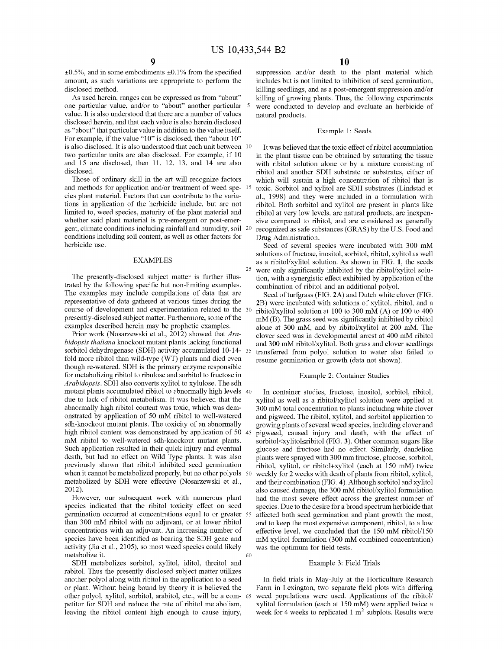$\pm 0.5$ %, and in some embodiments  $\pm 0.1$ % from the specified amount, as such variations are appropriate to perform the disclosed method.

As used herein, ranges can be expressed as from "about" one particular value, and/or to "about" another particular 5 value. It is also understood that there are a number of values disclosed herein, and that each value is also herein disclosed as "about" that particular value in addition to the value itself. For example, if the value "10" is disclosed, then "about 10" is also disclosed. It is also understood that each unit between 10 two particular units are also disclosed. For example, if 10 and 15 are disclosed, then 11, 12, 13, and 14 are also disclosed.

Those of ordinary skill in the art will recognize factors and methods for application and/or treatment of weed species plant material. Factors that can contribute to the variations in application of the herbicide include, but are not limited to, weed species, maturity of the plant material and whether said plant material is pre-emergent or post-emergent, climate conditions including rainfall and humidity, soil 20 conditions including soil content, as well as other factors for herbicide use. Seed of several species were incubated with 300 mM

#### EXAMPLES

The presently-disclosed subject matter is further illustrated by the following specific but non-limiting examples. The examples may include compilations of data that are representative of data gathered at various times during the course of development and experimentation related to the presently-disclosed subject matter. Furthermore, some of the examples described herein may be prophetic examples.

Prior work (Nosarzewski et al., 2012) showed that *Arabidopsis thaliana* knockout mutant plants lacking functional sorbitol dehydrogenase (SDH) activity accumulated 10-14 fold more ribitol than wild-type (WT) plants and died even though re-watered. SDH is the primary enzyme responsible for metabolizing ribitol to ribulose and sorbitol to fructose in *Arabidopsis.* SDH also converts xylitol to xylulose. The sdh mutant plants accumulated ribitol to abnormally high levels 40 due to lack of ribitol metabolism. It was believed that the abnormally high ribitol content was toxic, which was demonstrated by application of 50 mM ribitol to well-watered sdh-knockout mutant plants. The toxicity of an abnormally high ribitol content was demonstrated by application of 50 45 mM ribitol to well-watered sdh-knockout mutant plants. Such application resulted in their quick injury and eventual death, but had no effect on Wild Type plants. It was also previously shown that ribitol inhibited seed germination when it cannot be metabolized properly, but no other polyols 50 metabolized by SDH were effective (Nosarzewski et al., 2012).

However, our subsequent work with numerous plant species indicated that the ribitol toxicity effect on seed germination occurred at concentrations equal to or greater 55 than 300 mM ribitol with no adjuvant, or at lower ribitol concentrations with an adjuvant. An increasing number of species have been identified as bearing the SDH gene and activity (Jia et al., 2105), so most weed species could likely metabolize it. 60

SDH metabolizes sorbitol, xylitol, iditol, threitol and rabitol. Thus the presently disclosed subject matter utilizes another polyol along with ribitol in the application to a seed or plant. Without being bound by theory it is believed the other polyol, xylitol, sorbitol, arabitol, etc., will be a com- 65 petitor for SDH and reduce the rate of ribitol metabolism, leaving the ribitol content high enough to cause injury,

suppression and/or death to the plant material which includes but is not limited to inhibition of seed germination, killing seedlings, and as a post-emergent suppression and/or killing of growing plants. Thus, the following experiments were conducted to develop and evaluate an herbicide of natural products.

### Example 1: Seeds

It was believed that the toxic effect of ribitol accumulation in the plant tissue can be obtained by saturating the tissue with ribitol solution alone or by a mixture consisting of ribitol and another SDH substrate or substrates, either of which will sustain a high concentration of ribitol that is toxic. Sorbitol and xylitol are SDH substrates (Lindstad et al., 1998) and they were included in a formulation with ribitol. Both sorbitol and xylitol are present in plants like ribitol at very low levels, are natural products, are inexpensive compared to ribitol, and are considered as generally recognized as safe substances (GRAS) by the U.S. Food and Drug Administration.

solutions of fructose, inositol, sorbitol, ribitol, xylitol as well as a ribitol/xylitol solution. As shown in FIG. **1,** the seeds 25 were only significantly inhibited by the ribitol/xylitol solution, with a synergistic effect exhibited by application of the combination of ribitol and an additional polyol.

Seed of turfgrass (FIG. 2A) and Dutch white clover (FIG. **2B)** were incubated with solutions of xylitol, ribitol, and a ribitol/xylitol solution at 100 to 300 mM  $(A)$  or 100 to 400 mM (B). The grass seed was significantly inhibited by ribitol alone at 300 mM, and by ribitol/xylitol at 200 mM. The clover seed was in developmental arrest at 400 mM ribitol and 300 mM ribitol/xylitol. Both grass and clover seedlings transferred from polyol solution to water also failed to resume germination or growth (data not shown).

#### Example 2: Container Studies

In container studies, fructose, inositol, sorbitol, ribitol, xylitol as well as a ribitol/xylitol solution were applied at 300 mM total concentration to plants including white clover and pigweed. The ribitol, xylitol, and sorbitol application to growing plants of several weed species, including clover and pigweed, caused injury and death, with the effect of sorbitol<xylitolsribitol (FIG. **3).** Other common sugars like glucose and fructose had no effect. Similarly, dandelion plants were sprayed with 300 mm fructose, glucose, sorbitol, ribitol, xylitol, or ribitol+xylitol (each at 150 mM) twice weekly for 2 weeks with death of plants from ribitol, xylitol, and their combination (FIG. **4).** Although sorbitol and xylitol also caused damage, the 300 mM ribitol/xylitol formulation had the most severe effect across the greatest number of species. Due to the desire for a broad spectrum herbicide that affected both seed germination and plant growth the most, and to keep the most expensive component, ribitol, to a low effective level, we concluded that the 150 mM ribitol/150 mM xylitol formulation (300 mM combined concentration) was the optimum for field tests.

### Example 3: Field Trials

In field trials in May-July at the Horticulture Research Farm in Lexington, two separate field plots with differing weed populations were used. Applications of the ribitol/ xylitol formulation (each at 150 mM) were applied twice a week for 4 weeks to replicated  $1 \text{ m}^2$  subplots. Results were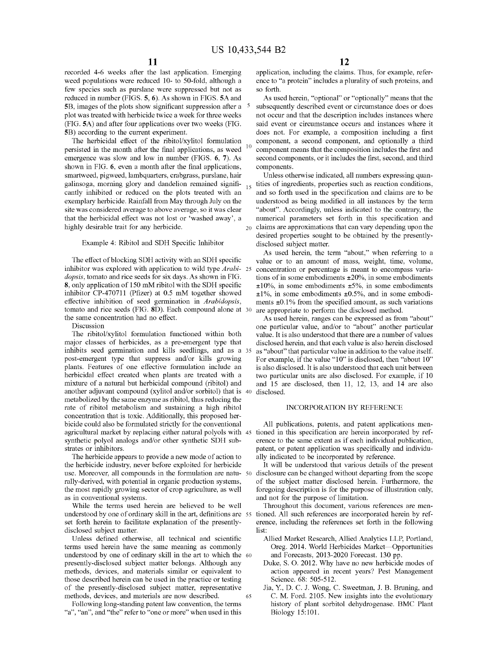recorded 4-6 weeks after the last application. Emerging weed populations were reduced 10- to 50-fold, although a few species such as purslane were suppressed but not as reduced in number (FIGS. **5, 6).** As shown in FIGS. **SA** and **SB,** images of the plots show significant suppression after a 5 plot was treated with herbicide twice a week for three weeks (FIG. **SA)** and after four applications over two weeks (FIG. **SB)** according to the current experiment.

The herbicidal effect of the ribitol/xylitol formulation persisted in the month after the final applications, as weed emergence was slow and low in number (FIGS. **6, 7).** As shown in FIG. **6,** even a month after the final applications, smartweed, pigweed, lambquarters, crabgrass, purslane, hair galinsoga, morning glory and dandelion remained significantly inhibited or reduced on the plots treated with an exemplary herbicide. Rainfall from May through July on the site was considered average to above average, so it was clear that the herbicidal effect was not lost or 'washed away', a highly desirable trait for any herbicide. 20 claims are approximations that can vary depending upon the

### Example 4: Ribitol and SDH Specific Inhibitor disclosed subject matter.

inhibitor was explored with application to wild type *Arabidopsis,* tomato and rice seeds for six days. As shown in FIG. **8,** only application of 150 mM ribitol with the SDH specific inhibitor CP-470711 (Pfizer) at 0.5 mM together showed effective inhibition of seed germination in *Arabidopsis,*  tomato and rice seeds (FIG. **SD).** Each compound alone at the same concentration had no effect.

Discussion

The ribitol/xylitol formulation functioned within both major classes of herbicides, as a pre-emergent type that inhibits seed germination and kills seedlings, and as a 35 post-emergent type that suppress and/or kills growing plants. Features of one effective formulation include an herbicidal effect created when plants are treated with a mixture of a natural but herbicidal compound (ribitol) and another adjuvant compound (xylitol and/or sorbitol) that is 40 disclosed. metabolized by the same enzyme as ribitol, thus reducing the rate of ribitol metabolism and sustaining a high ribitol concentration that is toxic. Additionally, this proposed herbicide could also be formulated strictly for the conventional agricultural market by replacing either natural polyols with 45 tioned in this specification are herein incorporated by refsynthetic polyol analogs and/or other synthetic SDH substrates or inhibitors.

The herbicide appears to provide a new mode of action to the herbicide industry, never before exploited for herbicide use. Moreover, all compounds in the formulation are natu- 50 rally-derived, with potential in organic production systems, the most rapidly growing sector of crop agriculture, as well as in conventional systems.

While the terms used herein are believed to be well understood by one of ordinary skill in the art, definitions are 55 tioned. All such references are incorporated herein by refset forth herein to facilitate explanation of the presentlydisclosed subject matter.

Unless defined otherwise, all technical and scientific terms used herein have the same meaning as commonly understood by one of ordinary skill in the art to which the 60 presently-disclosed subject matter belongs. Although any methods, devices, and materials similar or equivalent to those described herein can be used in the practice or testing of the presently-disclosed subject matter, representative methods, devices, and materials are now described. 65

Following long-standing patent law convention, the terms "a", "an", and "the" refer to "one or more" when used in this application, including the claims. Thus, for example, reference to "a protein" includes a plurality of such proteins, and so forth.

As used herein, "optional" or "optionally" means that the subsequently described event or circumstance does or does not occur and that the description includes instances where said event or circumstance occurs and instances where it does not. For example, a composition including a first component, a second component, and optionally a third component means that the composition includes the first and second components, or it includes the first, second, and third components.

Unless otherwise indicated, all numbers expressing quantities of ingredients, properties such as reaction conditions, and so forth used in the specification and claims are to be understood as being modified in all instances by the term "about". Accordingly, unless indicated to the contrary, the numerical parameters set forth in this specification and desired properties sought to be obtained by the presently-

As used herein, the term "about," when referring to a The effect of blocking SDH activity with an SDH specific value or to an amount of mass, weight, time, volume, concentration or percentage is meant to encompass variations of in some embodiments  $\pm 20\%$ , in some embodiments  $\pm 10\%$ , in some embodiments  $\pm 5\%$ , in some embodiments  $\pm 1\%$ , in some embodiments  $\pm 0.5\%$ , and in some embodiments  $\pm 0.1\%$  from the specified amount, as such variations are appropriate to perform the disclosed method.

> As used herein, ranges can be expressed as from "about" one particular value, and/or to "about" another particular value. It is also understood that there are a number of values disclosed herein, and that each value is also herein disclosed as "about" that particular value in addition to the value itself. For example, if the value "10" is disclosed, then "about 10" is also disclosed. It is also understood that each unit between two particular units are also disclosed. For example, if 10 and 15 are disclosed, then 11, 12, 13, and 14 are also

#### INCORPORATION BY REFERENCE

All publications, patents, and patent applications menerence to the same extent as if each individual publication, patent, or patent application was specifically and individually indicated to be incorporated by reference.

It will be understood that various details of the present disclosure can be changed without departing from the scope of the subject matter disclosed herein. Furthermore, the foregoing description is for the purpose of illustration only, and not for the purpose of limitation.

Throughout this document, various references are menerence, including the references set forth in the following list:

- Allied Market Research, Allied Analytics LLP, Portland, Oreg. 2014. World Herbicides Market-Opportunities and Forecasts, 2013-2020 Forecast. 130 pp.
- Duke, S. 0. 2012. Why have no new herbicide modes of action appeared in recent years? Pest Management Science. 68: 505-512.
- Jia, Y., D. C. J. Wong, C. Sweetman, J. B. Bruning, and C. M. Ford. 2105. New insights into the evolutionary history of plant sorbitol dehydrogenase. BMC Plant Biology 15:101.